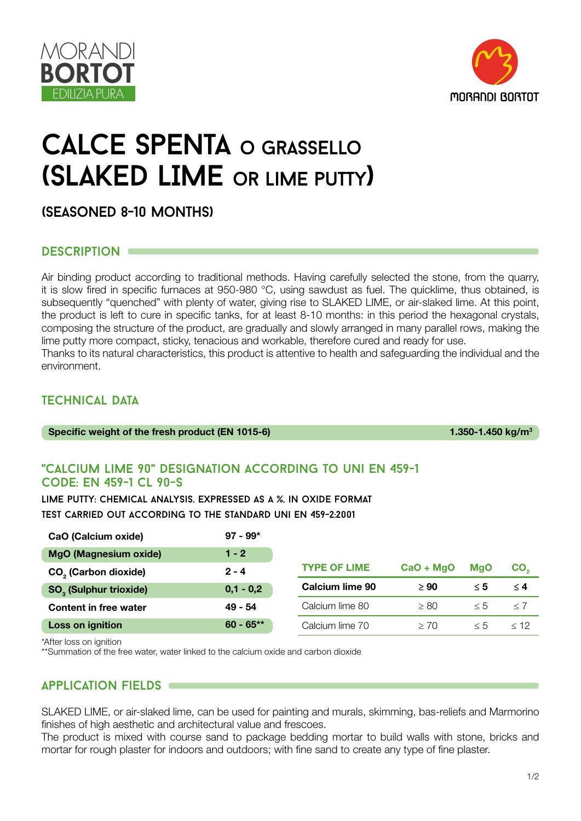



# calce spenta o grassello (SLAKED LIME or lime putty)

(seasoned 8-10 months)

## DESCRIPTION  $\blacksquare$

Air binding product according to traditional methods. Having carefully selected the stone, from the quarry, it is slow fired in specific furnaces at 950-980 °C, using sawdust as fuel. The quicklime, thus obtained, is subsequently "quenched" with plenty of water, giving rise to SLAKED LIME, or air-slaked lime. At this point, the product is left to cure in specific tanks, for at least 8-10 months: in this period the hexagonal crystals, composing the structure of the product, are gradually and slowly arranged in many parallel rows, making the lime putty more compact, sticky, tenacious and workable, therefore cured and ready for use. Thanks to its natural characteristics, this product is attentive to health and safeguarding the individual and the environment.

# **TECHNICAL DATA**

1.350-1.450 kg/m<sup>3</sup>

## "calcium lime 90" designation according to uni en 459-1 code: en 459-1 cl 90-s

97 - 99\*

lime putty: chemical analysis, expressed as a %, in oxide format test carried out according to the standard uni en 459-2:2001

| CaO (Calcium oxide)                      | $97 - 99*$  |                     |             |            |                 |
|------------------------------------------|-------------|---------------------|-------------|------------|-----------------|
| MgO (Magnesium oxide)                    | $1 - 2$     |                     |             |            |                 |
| CO <sub>2</sub> (Carbon dioxide)         | $2 - 4$     | <b>TYPE OF LIME</b> | $CaO + MgO$ | <b>MaO</b> | CO <sub>2</sub> |
| <b>SO<sub>3</sub></b> (Sulphur trioxide) | $0,1 - 0,2$ | Calcium lime 90     | $\geq 90$   | $\leq 5$   | $\leq 4$        |
| <b>Content in free water</b>             | $49 - 54$   | Calcium lime 80     | $\geq 80$   | $\leq 5$   | < 7             |
| Loss on ignition                         | $60 - 65**$ | Calcium lime 70     | $\geq 70$   | $\leq 5$   | $<$ 12          |

\*After loss on ignition

\*\*Summation of the free water, water linked to the calcium oxide and carbon dioxide

# application fields

SLAKED LIME, or air-slaked lime, can be used for painting and murals, skimming, bas-reliefs and Marmorino finishes of high aesthetic and architectural value and frescoes.

The product is mixed with course sand to package bedding mortar to build walls with stone, bricks and mortar for rough plaster for indoors and outdoors; with fine sand to create any type of fine plaster.